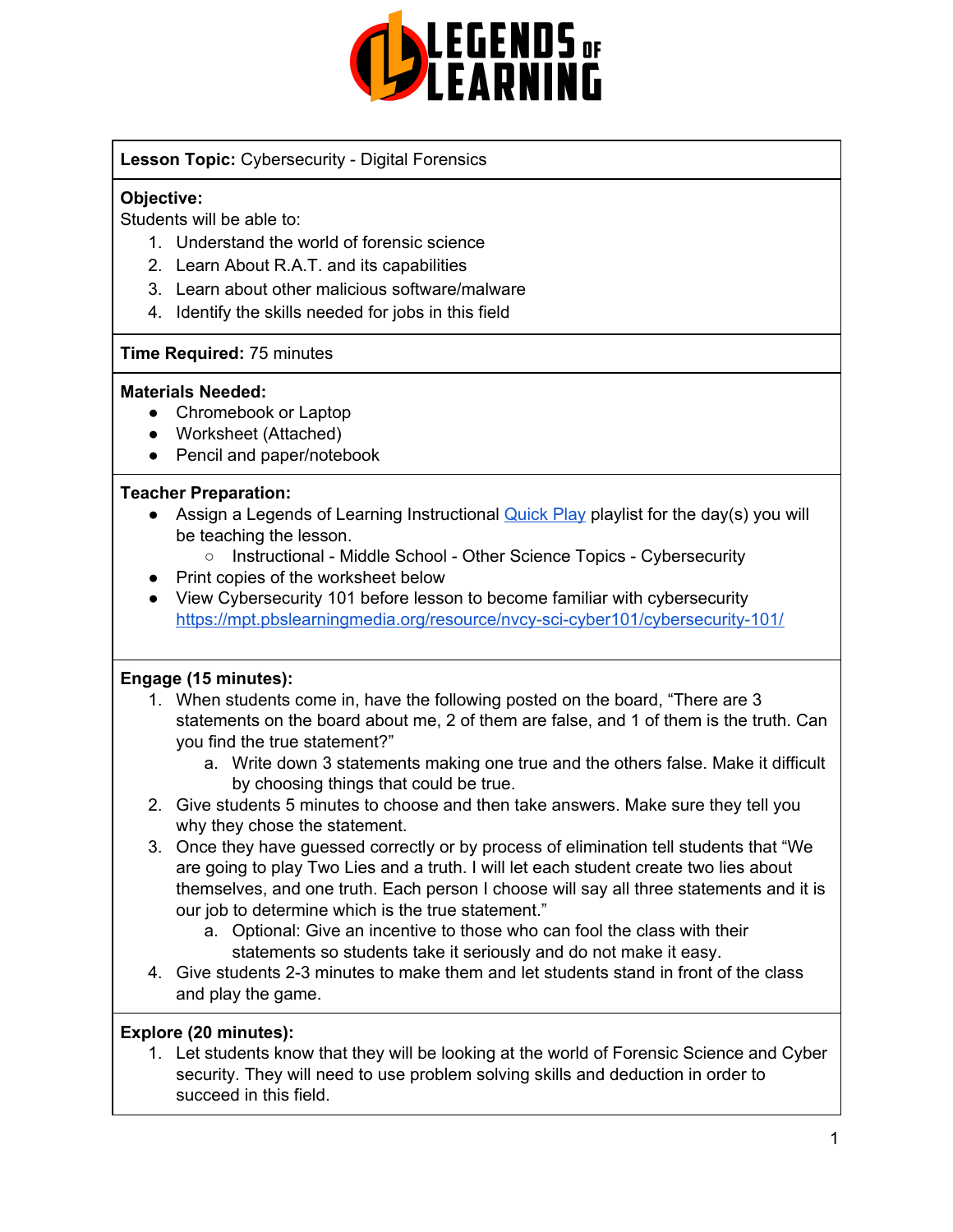

### **Lesson Topic:** Cybersecurity - Digital Forensics

### **Objective:**

Students will be able to:

- 1. Understand the world of forensic science
- 2. Learn About R.A.T. and its capabilities
- 3. Learn about other malicious software/malware
- 4. Identify the skills needed for jobs in this field

#### **Time Required:** 75 minutes

#### **Materials Needed:**

- Chromebook or Laptop
- Worksheet (Attached)
- Pencil and paper/notebook

#### **Teacher Preparation:**

- Assign a Legends of Learning Instructional [Quick](https://intercom.help/legends-of-learning/en/articles/2701866-assigning-a-quick-play-playlist) Play playlist for the day(s) you will be teaching the lesson.
	- Instructional Middle School Other Science Topics Cybersecurity
- Print copies of the worksheet below
- View Cybersecurity 101 before lesson to become familiar with cybersecurity <https://mpt.pbslearningmedia.org/resource/nvcy-sci-cyber101/cybersecurity-101/>

#### **Engage (15 minutes):**

- 1. When students come in, have the following posted on the board, "There are 3 statements on the board about me, 2 of them are false, and 1 of them is the truth. Can you find the true statement?"
	- a. Write down 3 statements making one true and the others false. Make it difficult by choosing things that could be true.
- 2. Give students 5 minutes to choose and then take answers. Make sure they tell you why they chose the statement.
- 3. Once they have guessed correctly or by process of elimination tell students that "We are going to play Two Lies and a truth. I will let each student create two lies about themselves, and one truth. Each person I choose will say all three statements and it is our job to determine which is the true statement."
	- a. Optional: Give an incentive to those who can fool the class with their statements so students take it seriously and do not make it easy.
- 4. Give students 2-3 minutes to make them and let students stand in front of the class and play the game.

#### **Explore (20 minutes):**

1. Let students know that they will be looking at the world of Forensic Science and Cyber security. They will need to use problem solving skills and deduction in order to succeed in this field.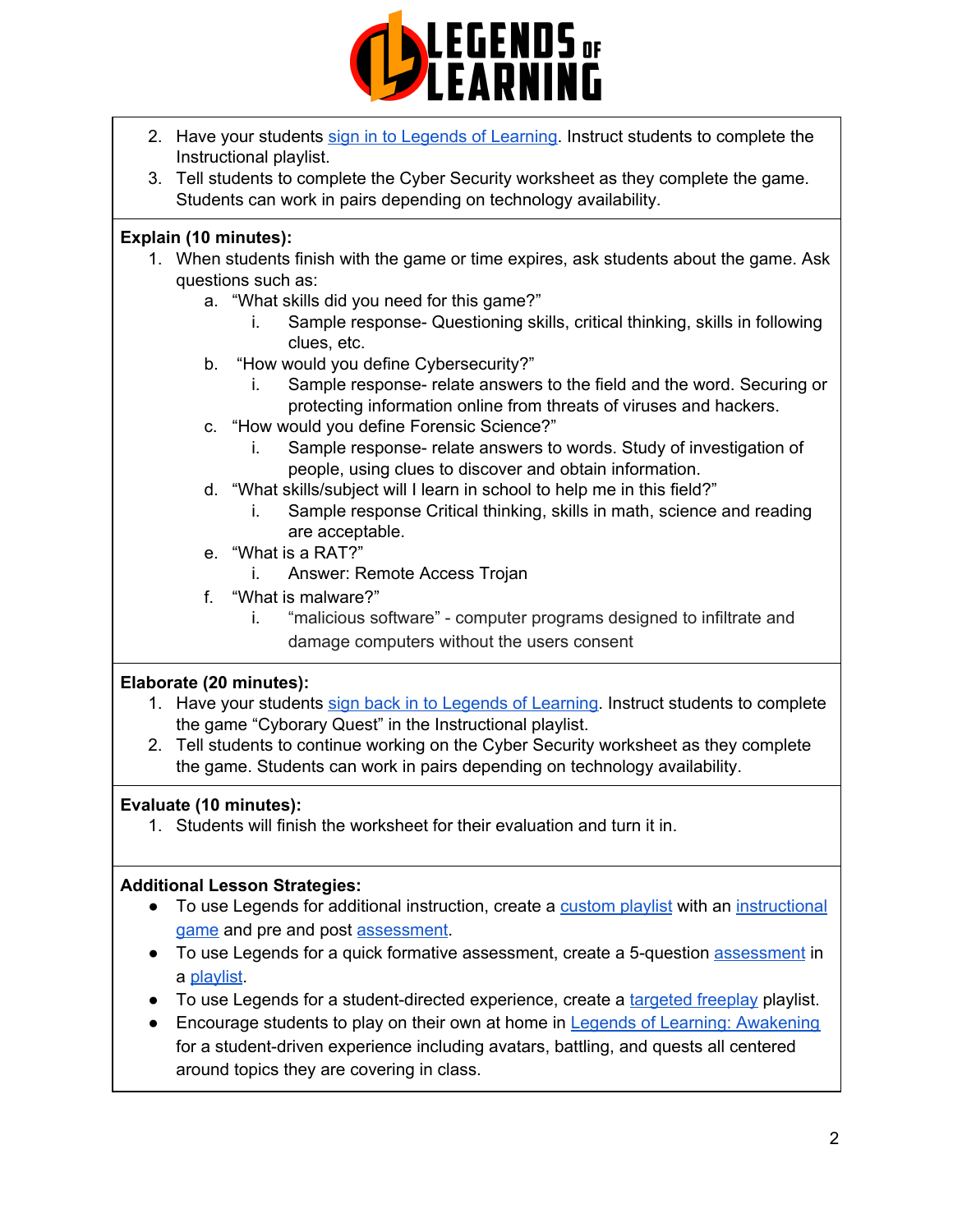

- 2. Have your students sign in to Legends of [Learning](https://intercom.help/legends-of-learning/en/articles/2154920-students-joining-a-playlist). Instruct students to complete the Instructional playlist.
- 3. Tell students to complete the Cyber Security worksheet as they complete the game. Students can work in pairs depending on technology availability.

### **Explain (10 minutes):**

- 1. When students finish with the game or time expires, ask students about the game. Ask questions such as:
	- a. "What skills did you need for this game?"
		- i. Sample response- Questioning skills, critical thinking, skills in following clues, etc.
	- b. "How would you define Cybersecurity?"
		- i. Sample response- relate answers to the field and the word. Securing or protecting information online from threats of viruses and hackers.
	- c. "How would you define Forensic Science?"
		- i. Sample response- relate answers to words. Study of investigation of people, using clues to discover and obtain information.
	- d. "What skills/subject will I learn in school to help me in this field?"
		- i. Sample response Critical thinking, skills in math, science and reading are acceptable.
	- e. "What is a RAT?"
		- i. Answer: Remote Access Trojan
	- f. "What is malware?"
		- i. "malicious software" computer programs designed to infiltrate and damage computers without the users consent

#### **Elaborate (20 minutes):**

- 1. Have your students sign back in to Legends of [Learning.](https://intercom.help/legends-of-learning/en/articles/2154920-students-joining-a-playlist) Instruct students to complete the game "Cyborary Quest" in the Instructional playlist.
- 2. Tell students to continue working on the Cyber Security worksheet as they complete the game. Students can work in pairs depending on technology availability.

## **Evaluate (10 minutes):**

1. Students will finish the worksheet for their evaluation and turn it in.

#### **Additional Lesson Strategies:**

- To use Legends for additional instruction, create a [custom](https://intercom.help/legends-of-learning/en/articles/2154910-creating-a-playlist) playlist with an [instructional](https://intercom.help/legends-of-learning/en/articles/3505828-types-of-games) [game](https://intercom.help/legends-of-learning/en/articles/3505828-types-of-games) and pre and post [assessment](https://intercom.help/legends-of-learning/en/articles/2154913-adding-assessments-to-a-playlist).
- To use Legends for a quick formative [assessment](https://intercom.help/legends-of-learning/en/articles/2154913-adding-assessments-to-a-playlist), create a 5-question assessment in a [playlist](https://intercom.help/legends-of-learning/en/articles/2154910-creating-a-playlist).
- To use Legends for a student-directed experience, create a [targeted](https://intercom.help/legends-of-learning/en/articles/3340814-targeted-freeplay) freeplay playlist.
- Encourage students to play on their own at home in Legends of Learning: [Awakening](https://intercom.help/legends-of-learning/en/articles/2425490-legends-of-learning-awakening) for a student-driven experience including avatars, battling, and quests all centered around topics they are covering in class.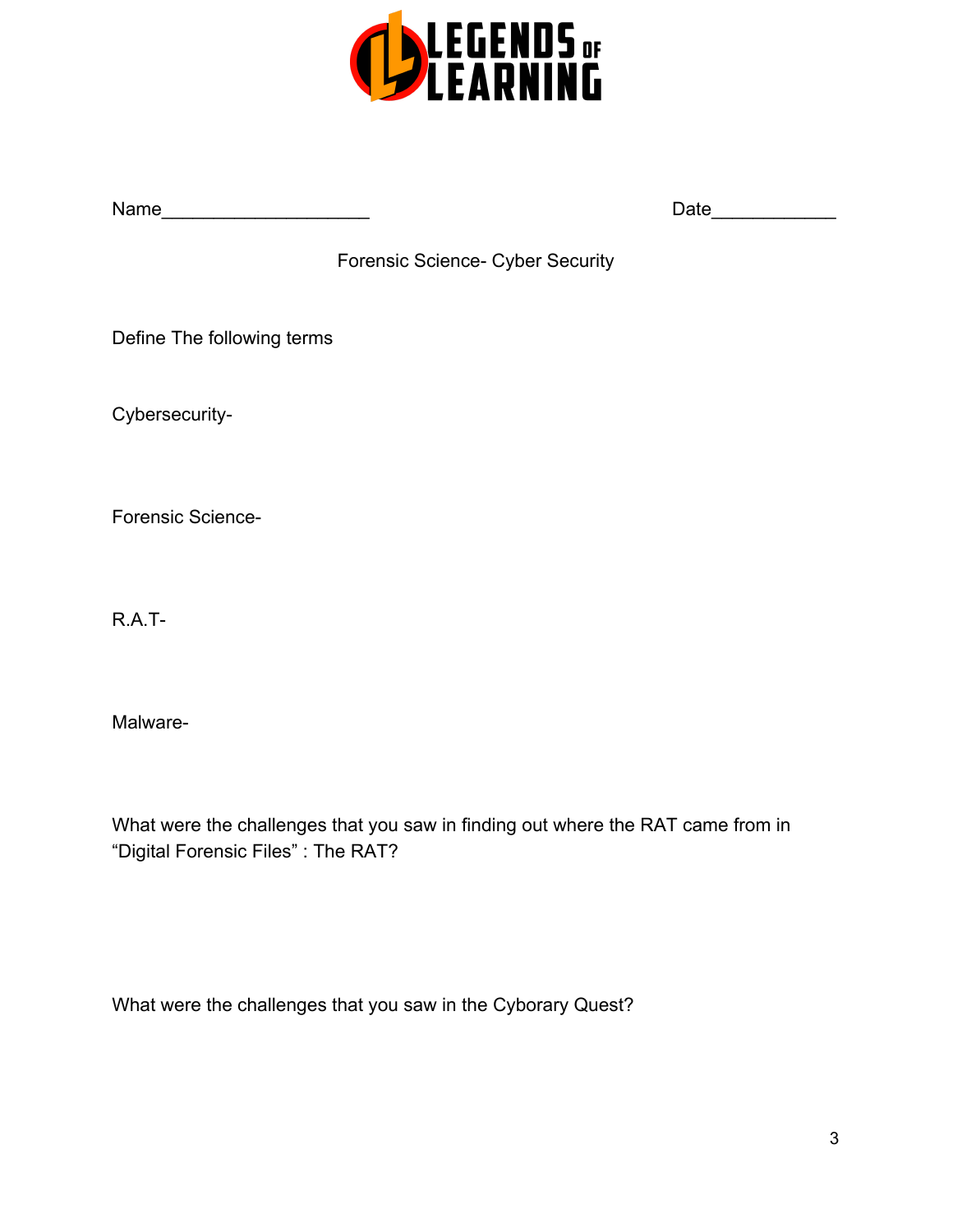

Name\_\_\_\_\_\_\_\_\_\_\_\_\_\_\_\_\_\_\_\_ Date\_\_\_\_\_\_\_\_\_\_\_\_

Forensic Science- Cyber Security

Define The following terms

Cybersecurity-

Forensic Science-

R.A.T-

Malware-

What were the challenges that you saw in finding out where the RAT came from in "Digital Forensic Files" : The RAT?

What were the challenges that you saw in the Cyborary Quest?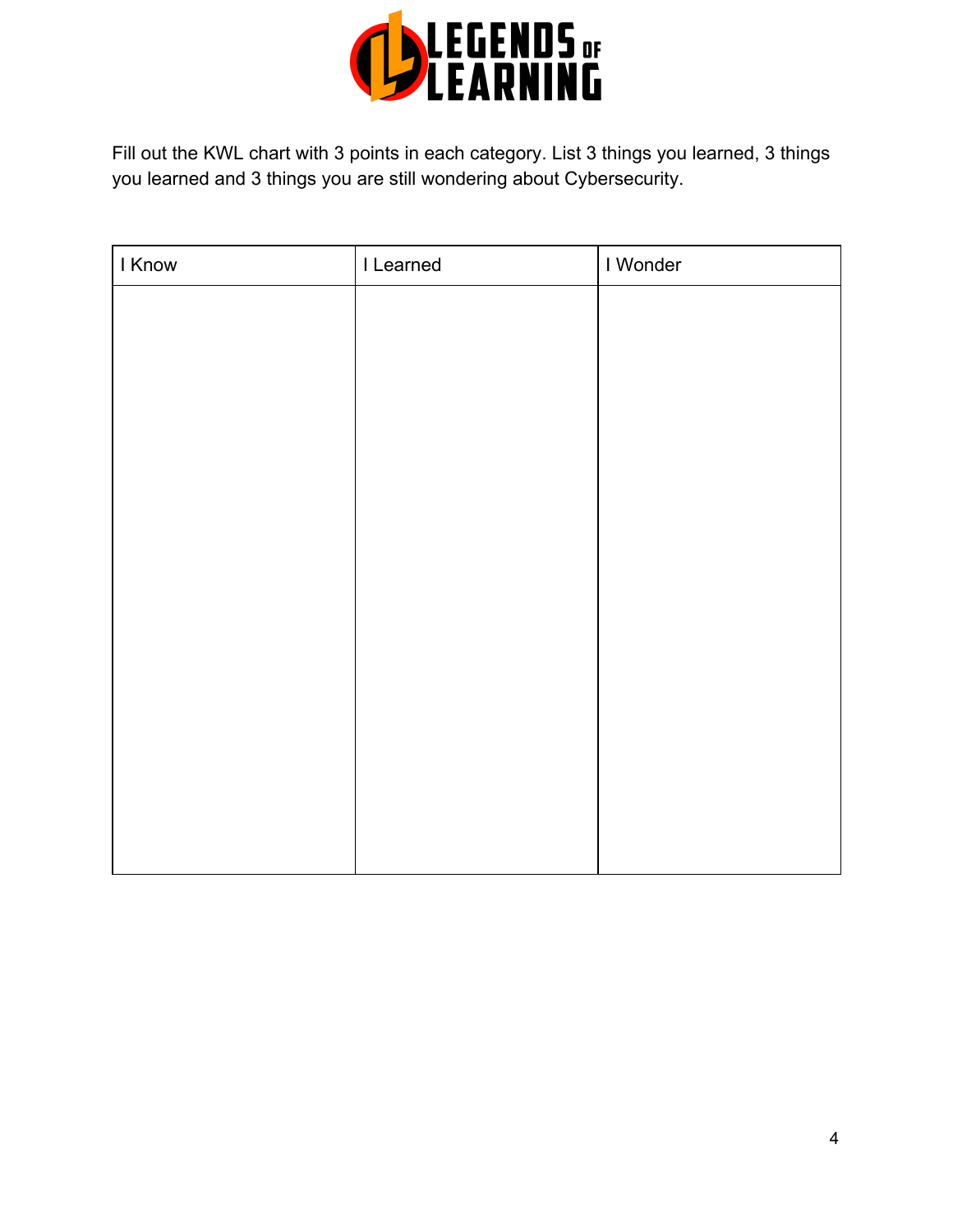

Fill out the KWL chart with 3 points in each category. List 3 things you learned, 3 things you learned and 3 things you are still wondering about Cybersecurity.

| I Know | I Learned | I Wonder |
|--------|-----------|----------|
|        |           |          |
|        |           |          |
|        |           |          |
|        |           |          |
|        |           |          |
|        |           |          |
|        |           |          |
|        |           |          |
|        |           |          |
|        |           |          |
|        |           |          |
|        |           |          |
|        |           |          |
|        |           |          |
|        |           |          |